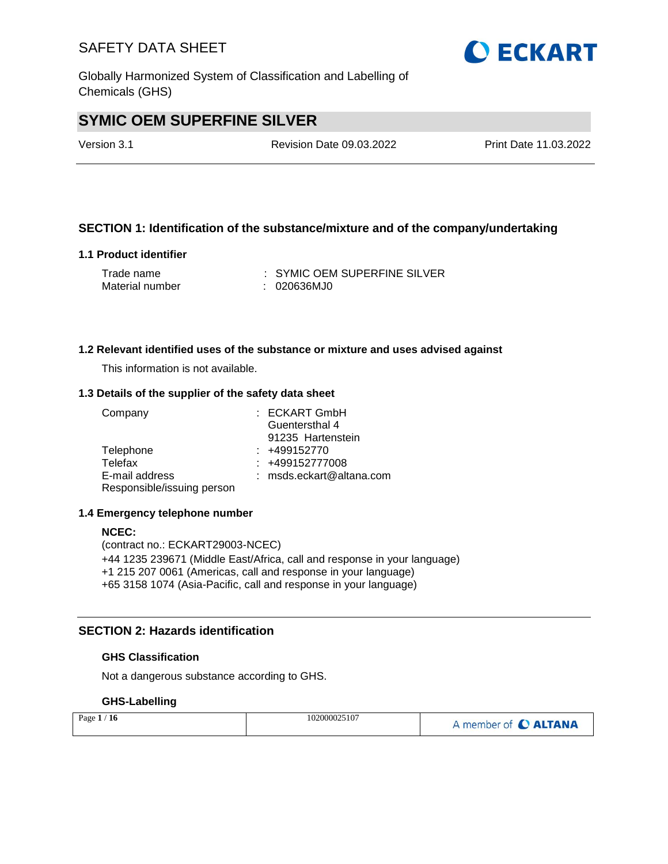Globally Harmonized System of Classification and Labelling of Chemicals (GHS)

# **SYMIC OEM SUPERFINE SILVER**

Version 3.1 Revision Date 09.03.2022 Print Date 11.03.2022

## **SECTION 1: Identification of the substance/mixture and of the company/undertaking**

#### **1.1 Product identifier**

| Trade name      | : SYMIC OEM SUPERFINE SILVER |
|-----------------|------------------------------|
| Material number | : 020636MJ0                  |

#### **1.2 Relevant identified uses of the substance or mixture and uses advised against**

This information is not available.

#### **1.3 Details of the supplier of the safety data sheet**

| Company                    | $:$ ECKART GmbH            |
|----------------------------|----------------------------|
|                            | Guentersthal 4             |
|                            | 91235 Hartenstein          |
| Telephone                  | $: +499152770$             |
| Telefax                    | $: +499152777008$          |
| E-mail address             | $:$ msds.eckart@altana.com |
| Responsible/issuing person |                            |

#### **1.4 Emergency telephone number**

#### **NCEC:**

(contract no.: ECKART29003-NCEC) +44 1235 239671 (Middle East/Africa, call and response in your language) +1 215 207 0061 (Americas, call and response in your language) +65 3158 1074 (Asia-Pacific, call and response in your language)

### **SECTION 2: Hazards identification**

#### **GHS Classification**

Not a dangerous substance according to GHS.

#### **GHS-Labelling**

| Page $1$<br>ี 16 | 102000025107 | A member of <b>C ALTANA</b> |
|------------------|--------------|-----------------------------|
|------------------|--------------|-----------------------------|

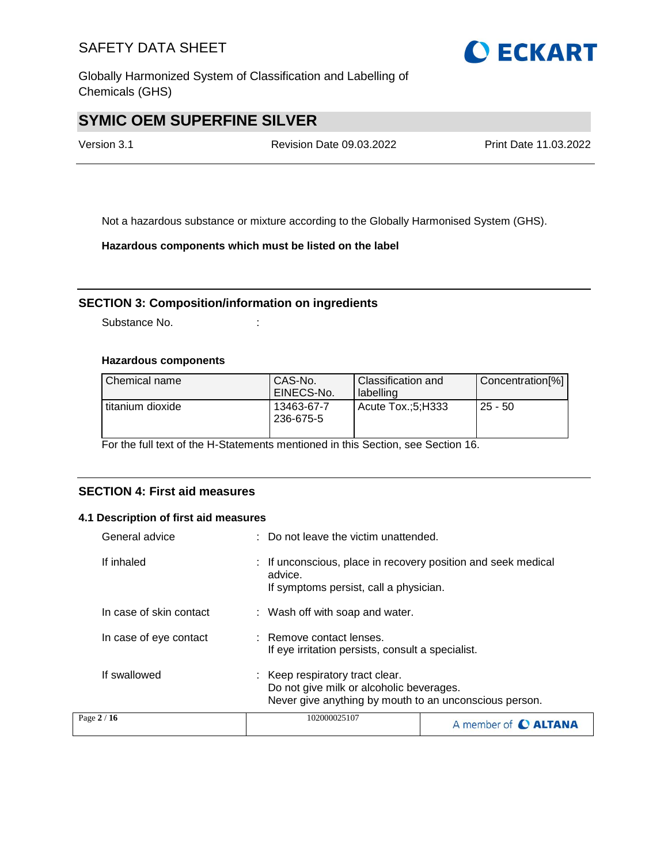Globally Harmonized System of Classification and Labelling of Chemicals (GHS)

# **SYMIC OEM SUPERFINE SILVER**

Version 3.1 Revision Date 09.03.2022 Print Date 11.03.2022

Not a hazardous substance or mixture according to the Globally Harmonised System (GHS).

**Hazardous components which must be listed on the label**

#### **SECTION 3: Composition/information on ingredients**

Substance No. **:** :

#### **Hazardous components**

| Chemical name    | CAS-No.<br>EINECS-No.   | Classification and<br>labelling | Concentration[%] |
|------------------|-------------------------|---------------------------------|------------------|
| titanium dioxide | 13463-67-7<br>236-675-5 | Acute Tox.:5:H333               | $125 - 50$       |

For the full text of the H-Statements mentioned in this Section, see Section 16.

## **SECTION 4: First aid measures**

#### **4.1 Description of first aid measures**

| General advice          | : Do not leave the victim unattended.                                                                                                 |
|-------------------------|---------------------------------------------------------------------------------------------------------------------------------------|
| If inhaled              | : If unconscious, place in recovery position and seek medical<br>advice.<br>If symptoms persist, call a physician.                    |
| In case of skin contact | : Wash off with soap and water.                                                                                                       |
| In case of eye contact  | : Remove contact lenses.<br>If eye irritation persists, consult a specialist.                                                         |
| If swallowed            | : Keep respiratory tract clear.<br>Do not give milk or alcoholic beverages.<br>Never give anything by mouth to an unconscious person. |
| Page 2 / 16             | 102000025107<br>A member of <b>C ALTANA</b>                                                                                           |

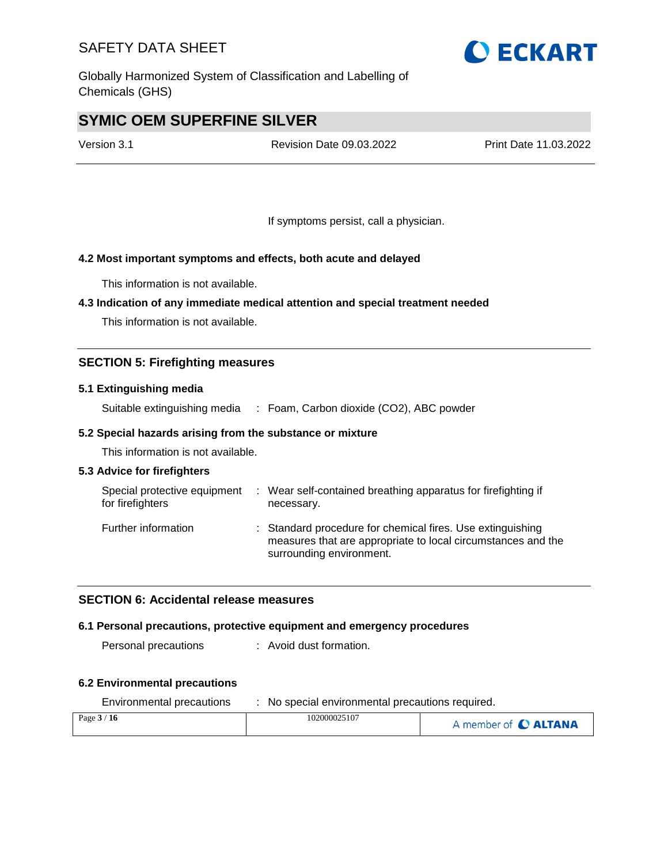Globally Harmonized System of Classification and Labelling of Chemicals (GHS)

# **SYMIC OEM SUPERFINE SILVER**

Version 3.1 Revision Date 09.03.2022 Print Date 11.03.2022

If symptoms persist, call a physician.

### **4.2 Most important symptoms and effects, both acute and delayed**

This information is not available.

#### **4.3 Indication of any immediate medical attention and special treatment needed**

This information is not available.

### **SECTION 5: Firefighting measures**

#### **5.1 Extinguishing media**

Suitable extinguishing media : Foam, Carbon dioxide (CO2), ABC powder

#### **5.2 Special hazards arising from the substance or mixture**

This information is not available.

#### **5.3 Advice for firefighters**

| Special protective equipment<br>for firefighters | : Wear self-contained breathing apparatus for firefighting if<br>necessary.                                                                            |
|--------------------------------------------------|--------------------------------------------------------------------------------------------------------------------------------------------------------|
| Further information                              | : Standard procedure for chemical fires. Use extinguishing<br>measures that are appropriate to local circumstances and the<br>surrounding environment. |

#### **SECTION 6: Accidental release measures**

#### **6.1 Personal precautions, protective equipment and emergency procedures**

Personal precautions : Avoid dust formation.

#### **6.2 Environmental precautions**

| Environmental precautions | No special environmental precautions required. |                      |  |  |
|---------------------------|------------------------------------------------|----------------------|--|--|
| Page $3/16$               | 102000025107                                   | A member of C ALTANA |  |  |

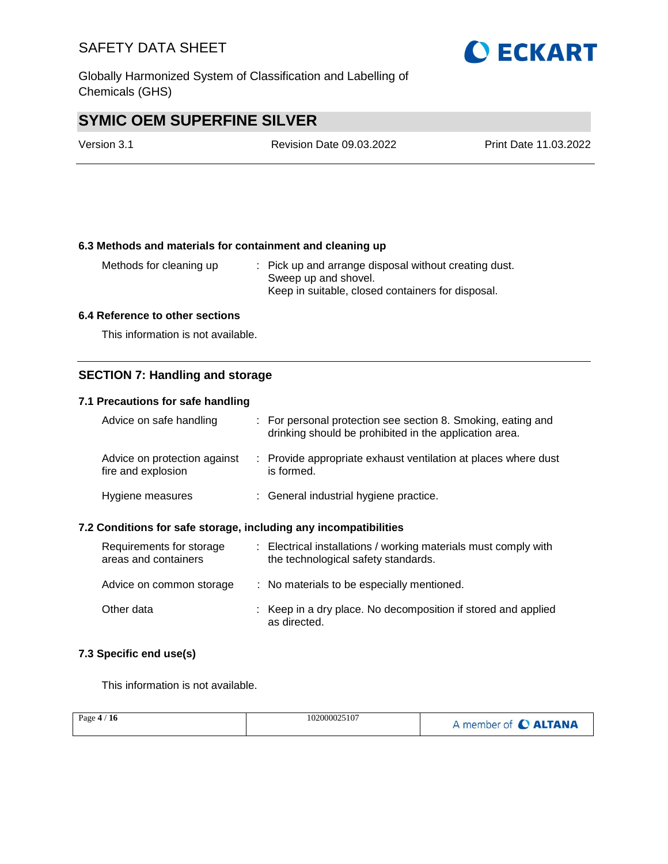Globally Harmonized System of Classification and Labelling of Chemicals (GHS)

# **SYMIC OEM SUPERFINE SILVER**

| Version 3.1 | <b>Revision Date 09.03.2022</b> | Print Date 11.03.2022 |
|-------------|---------------------------------|-----------------------|
|             |                                 |                       |

#### **6.3 Methods and materials for containment and cleaning up**

Methods for cleaning up : Pick up and arrange disposal without creating dust. Sweep up and shovel. Keep in suitable, closed containers for disposal.

#### **6.4 Reference to other sections**

This information is not available.

#### **SECTION 7: Handling and storage**

#### **7.1 Precautions for safe handling**

| Advice on safe handling                            | : For personal protection see section 8. Smoking, eating and<br>drinking should be prohibited in the application area. |
|----------------------------------------------------|------------------------------------------------------------------------------------------------------------------------|
| Advice on protection against<br>fire and explosion | : Provide appropriate exhaust ventilation at places where dust<br>is formed.                                           |
| Hygiene measures                                   | : General industrial hygiene practice.                                                                                 |

#### **7.2 Conditions for safe storage, including any incompatibilities**

| Requirements for storage<br>areas and containers | : Electrical installations / working materials must comply with<br>the technological safety standards. |
|--------------------------------------------------|--------------------------------------------------------------------------------------------------------|
| Advice on common storage                         | : No materials to be especially mentioned.                                                             |
| Other data                                       | : Keep in a dry place. No decomposition if stored and applied<br>as directed.                          |

#### **7.3 Specific end use(s)**

This information is not available.

| Page $4/16$ | 102000025107 | A member of C ALTANA |
|-------------|--------------|----------------------|
|             |              |                      |

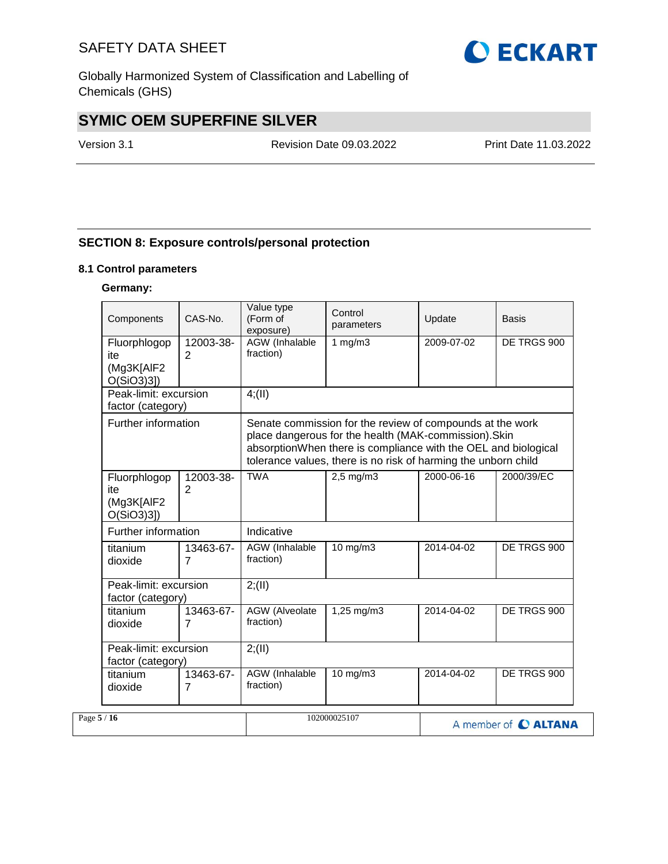Globally Harmonized System of Classification and Labelling of Chemicals (GHS)

# **SYMIC OEM SUPERFINE SILVER**

Version 3.1 Revision Date 09.03.2022 Print Date 11.03.2022

## **SECTION 8: Exposure controls/personal protection**

#### **8.1 Control parameters**

### **Germany:**

|             | Components                                        | CAS-No.                     | Value type<br>(Form of<br>exposure)                                                                                                                                                                                                                    | Control<br>parameters | Update     | Basis                |
|-------------|---------------------------------------------------|-----------------------------|--------------------------------------------------------------------------------------------------------------------------------------------------------------------------------------------------------------------------------------------------------|-----------------------|------------|----------------------|
|             | Fluorphlogop<br>ite<br>(Mg3K[AIF2<br>$O(SiO3)3$ ] | 12003-38-<br>2              | <b>AGW</b> (Inhalable<br>fraction)                                                                                                                                                                                                                     | 1 $mg/m3$             | 2009-07-02 | DE TRGS 900          |
|             | Peak-limit: excursion<br>factor (category)        |                             | 4(11)                                                                                                                                                                                                                                                  |                       |            |                      |
|             | Further information                               |                             | Senate commission for the review of compounds at the work<br>place dangerous for the health (MAK-commission). Skin<br>absorptionWhen there is compliance with the OEL and biological<br>tolerance values, there is no risk of harming the unborn child |                       |            |                      |
|             | Fluorphlogop<br>ite<br>(Mg3K[AIF2<br>$O(SiO3)3$ ] | 12003-38-<br>$\overline{2}$ | <b>TWA</b>                                                                                                                                                                                                                                             | 2,5 mg/m3             | 2000-06-16 | 2000/39/EC           |
|             | Further information                               |                             | Indicative                                                                                                                                                                                                                                             |                       |            |                      |
|             | titanium<br>dioxide                               | 13463-67-<br>$\overline{7}$ | AGW (Inhalable<br>fraction)                                                                                                                                                                                                                            | $10$ mg/m $3$         | 2014-04-02 | DE TRGS 900          |
|             | Peak-limit: excursion<br>factor (category)        |                             | 2; (II)                                                                                                                                                                                                                                                |                       |            |                      |
|             | titanium<br>dioxide                               | 13463-67-<br>7              | <b>AGW</b> (Alveolate<br>fraction)                                                                                                                                                                                                                     | 1,25 mg/m3            | 2014-04-02 | DE TRGS 900          |
|             | Peak-limit: excursion<br>factor (category)        |                             | 2; (II)                                                                                                                                                                                                                                                |                       |            |                      |
|             | titanium<br>dioxide                               | 13463-67-<br>7              | AGW (Inhalable<br>fraction)                                                                                                                                                                                                                            | 10 mg/m3              | 2014-04-02 | DE TRGS 900          |
| Page $5/16$ |                                                   |                             |                                                                                                                                                                                                                                                        | 102000025107          |            | A member of C ALTANA |

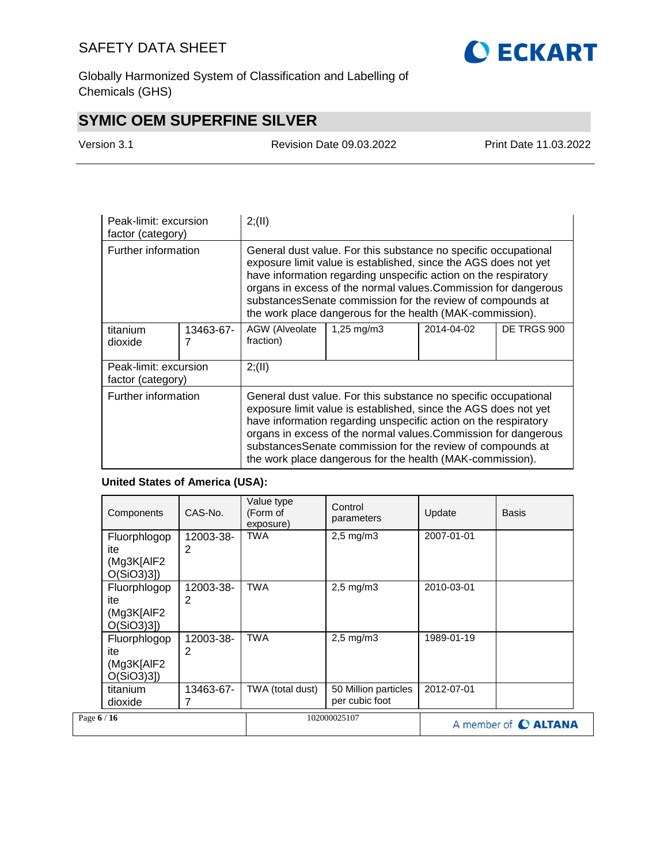

Globally Harmonized System of Classification and Labelling of Chemicals (GHS)

# **SYMIC OEM SUPERFINE SILVER**

Version 3.1 Revision Date 09.03.2022 Print Date 11.03.2022

| Peak-limit: excursion<br>factor (category) |           | 2; (II)                                                                                                                                                                                                                                                                                                                                                                                             |  |  |  |  |
|--------------------------------------------|-----------|-----------------------------------------------------------------------------------------------------------------------------------------------------------------------------------------------------------------------------------------------------------------------------------------------------------------------------------------------------------------------------------------------------|--|--|--|--|
| Further information                        |           | General dust value. For this substance no specific occupational<br>exposure limit value is established, since the AGS does not yet<br>have information regarding unspecific action on the respiratory<br>organs in excess of the normal values. Commission for dangerous<br>substancesSenate commission for the review of compounds at<br>the work place dangerous for the health (MAK-commission). |  |  |  |  |
| titanium<br>dioxide                        | 13463-67- | AGW (Alveolate<br>1,25 mg/m3<br>2014-04-02<br>DE TRGS 900<br>fraction)                                                                                                                                                                                                                                                                                                                              |  |  |  |  |
| Peak-limit: excursion<br>factor (category) |           | 2; (II)                                                                                                                                                                                                                                                                                                                                                                                             |  |  |  |  |
| Further information                        |           | General dust value. For this substance no specific occupational<br>exposure limit value is established, since the AGS does not yet<br>have information regarding unspecific action on the respiratory<br>organs in excess of the normal values.Commission for dangerous<br>substancesSenate commission for the review of compounds at<br>the work place dangerous for the health (MAK-commission).  |  |  |  |  |

## **United States of America (USA):**

| Components                                        | CAS-No.        | Value type<br>(Form of<br>exposure) | Control<br>parameters                  | Update     | <b>Basis</b>                |
|---------------------------------------------------|----------------|-------------------------------------|----------------------------------------|------------|-----------------------------|
| Fluorphlogop<br>ite<br>(Mg3K[AlF2<br>$O(SiO3)3$ ] | 12003-38-<br>2 | <b>TWA</b>                          | $2,5$ mg/m $3$                         | 2007-01-01 |                             |
| Fluorphlogop<br>ite<br>(Mg3K[AlF2<br>$O(SiO3)3$ ] | 12003-38-<br>2 | <b>TWA</b>                          | $2,5$ mg/m $3$                         | 2010-03-01 |                             |
| Fluorphlogop<br>ite<br>(Mg3K[AlF2<br>$O(SiO3)3$ ] | 12003-38-<br>2 | <b>TWA</b>                          | $2.5 \text{ mg/m}$ 3                   | 1989-01-19 |                             |
| titanium<br>dioxide                               | 13463-67-      | TWA (total dust)                    | 50 Million particles<br>per cubic foot | 2012-07-01 |                             |
| Page 6 / 16                                       |                |                                     | 102000025107                           |            | A member of <b>C ALTANA</b> |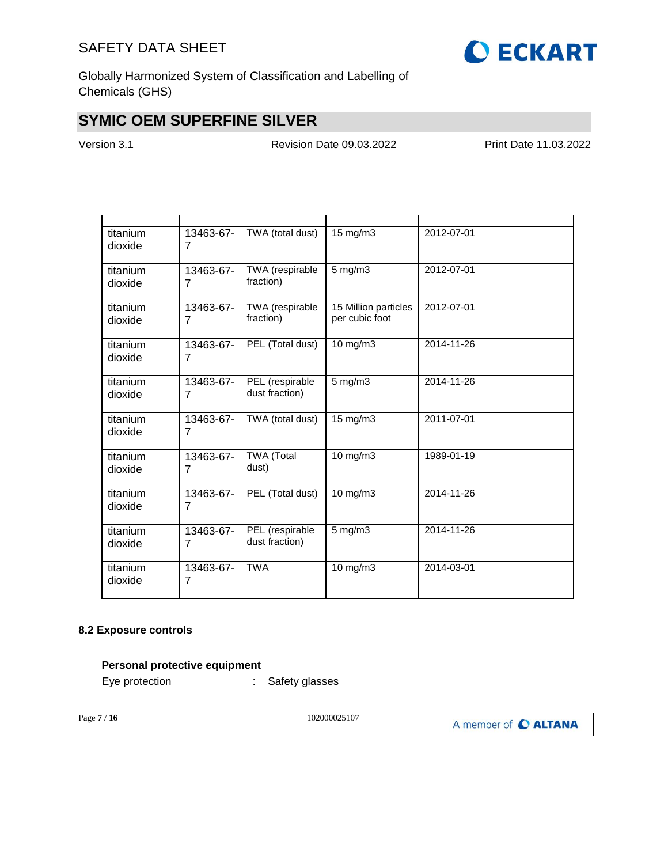

Globally Harmonized System of Classification and Labelling of Chemicals (GHS)

# **SYMIC OEM SUPERFINE SILVER**

Version 3.1 Revision Date 09.03.2022 Print Date 11.03.2022

| titanium<br>dioxide | 13463-67-<br>7              | TWA (total dust)                  | 15 mg/m3                               | 2012-07-01 |  |
|---------------------|-----------------------------|-----------------------------------|----------------------------------------|------------|--|
| titanium<br>dioxide | 13463-67-<br>$\overline{7}$ | TWA (respirable<br>fraction)      | $5 \text{ mg/m}$                       | 2012-07-01 |  |
| titanium<br>dioxide | 13463-67-<br>7              | TWA (respirable<br>fraction)      | 15 Million particles<br>per cubic foot | 2012-07-01 |  |
| titanium<br>dioxide | 13463-67-<br>$\overline{7}$ | PEL (Total dust)                  | $10$ mg/m $3$                          | 2014-11-26 |  |
| titanium<br>dioxide | 13463-67-<br>$\overline{7}$ | PEL (respirable<br>dust fraction) | $5$ mg/m $3$                           | 2014-11-26 |  |
| titanium<br>dioxide | 13463-67-<br>7              | TWA (total dust)                  | $15 \text{ mg/m}$                      | 2011-07-01 |  |
| titanium<br>dioxide | 13463-67-<br>$\overline{7}$ | <b>TWA (Total</b><br>dust)        | 10 mg/m3                               | 1989-01-19 |  |
| titanium<br>dioxide | 13463-67-<br>7              | PEL (Total dust)                  | 10 mg/m3                               | 2014-11-26 |  |
| titanium<br>dioxide | 13463-67-<br>7              | PEL (respirable<br>dust fraction) | $5$ mg/m $3$                           | 2014-11-26 |  |
| titanium<br>dioxide | 13463-67-<br>7              | <b>TWA</b>                        | 10 mg/m3                               | 2014-03-01 |  |

## **8.2 Exposure controls**

### **Personal protective equipment**

Eye protection : Safety glasses

| Page $7/16$ | 102000025107 | A member of C ALTANA |
|-------------|--------------|----------------------|
|             |              |                      |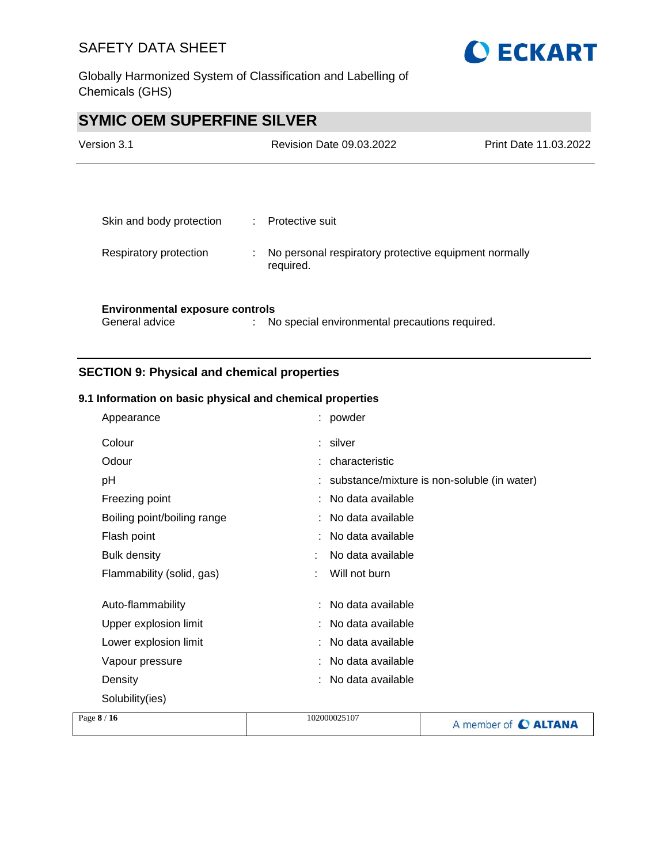



# **SYMIC OEM SUPERFINE SILVER**

| Version 3.1                            |   | <b>Revision Date 09.03.2022</b>                                    | Print Date 11.03.2022 |
|----------------------------------------|---|--------------------------------------------------------------------|-----------------------|
|                                        |   |                                                                    |                       |
| Skin and body protection               |   | : Protective suit                                                  |                       |
| Respiratory protection                 | ÷ | No personal respiratory protective equipment normally<br>required. |                       |
|                                        |   |                                                                    |                       |
| <b>Environmental exposure controls</b> |   |                                                                    |                       |
| General advice                         | ٠ | No special environmental precautions required.                     |                       |

## **SECTION 9: Physical and chemical properties**

#### **9.1 Information on basic physical and chemical properties**

| Appearance                  | : powder                                    |
|-----------------------------|---------------------------------------------|
| Colour                      | : silver                                    |
| Odour                       | characteristic                              |
| рH                          | substance/mixture is non-soluble (in water) |
| Freezing point              | : No data available                         |
| Boiling point/boiling range | No data available                           |
| Flash point                 | : No data available                         |
| <b>Bulk density</b>         | No data available                           |
| Flammability (solid, gas)   | Will not burn                               |
| Auto-flammability           | No data available                           |
| Upper explosion limit       | No data available                           |
| Lower explosion limit       | No data available                           |
| Vapour pressure             | No data available                           |
| Density                     | No data available                           |
| Solubility(ies)             |                                             |
| 9/16                        | 102000025107                                |

| Page $8/16$ | 102000025107 | A member of C ALTANA |
|-------------|--------------|----------------------|
|             |              |                      |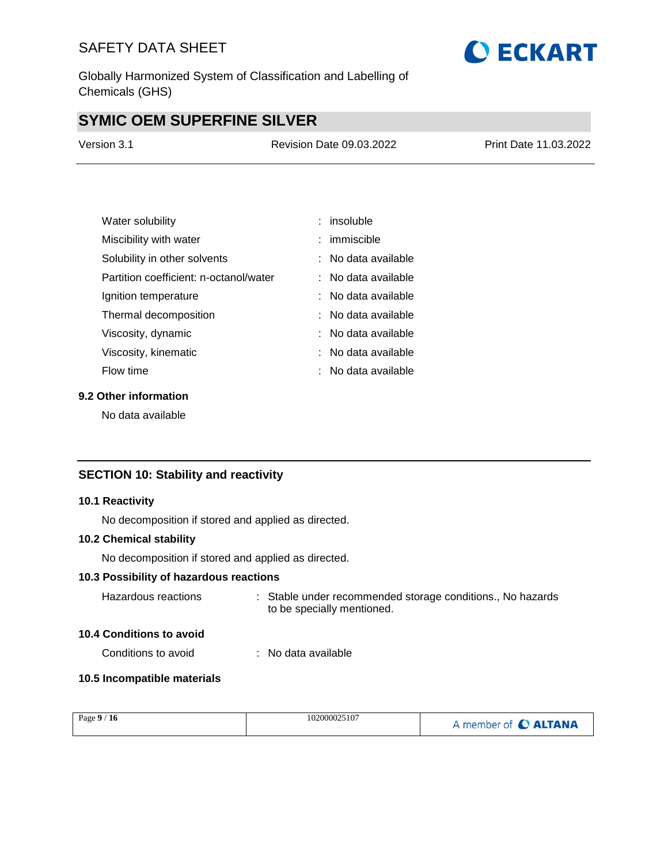Globally Harmonized System of Classification and Labelling of Chemicals (GHS)

# **SYMIC OEM SUPERFINE SILVER**

| Version 3.1 | <b>Revision Date 09.03.2022</b> | Print Date 11.03.2022 |
|-------------|---------------------------------|-----------------------|
|             |                                 |                       |

| Water solubility                       | $:$ insoluble       |
|----------------------------------------|---------------------|
| Miscibility with water                 | : immiscible        |
| Solubility in other solvents           | : No data available |
| Partition coefficient: n-octanol/water | : No data available |
| Ignition temperature                   | : No data available |
| Thermal decomposition                  | : No data available |
| Viscosity, dynamic                     | : No data available |
| Viscosity, kinematic                   | : No data available |
| Flow time                              | : No data available |

## **9.2 Other information**

No data available

## **SECTION 10: Stability and reactivity**

#### **10.1 Reactivity**

No decomposition if stored and applied as directed.

#### **10.2 Chemical stability**

No decomposition if stored and applied as directed.

### **10.3 Possibility of hazardous reactions**

| Hazardous reactions | . Stable under recommended storage conditions., No hazards |
|---------------------|------------------------------------------------------------|
|                     | to be specially mentioned.                                 |

#### **10.4 Conditions to avoid**

Conditions to avoid : No data available

### **10.5 Incompatible materials**

| Page $9/16$ | 102000025107 | A member of C ALTANA |
|-------------|--------------|----------------------|
|             |              |                      |

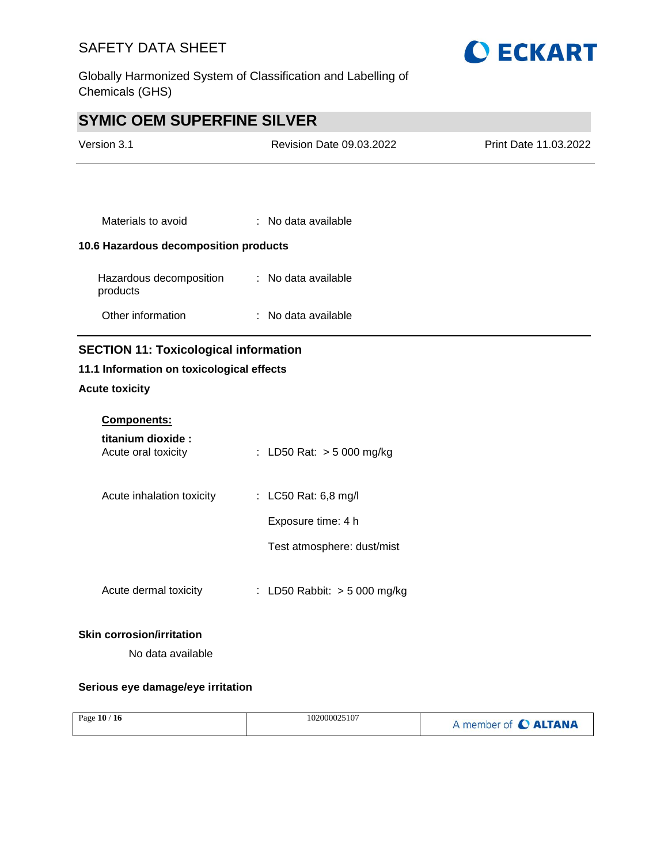

Globally Harmonized System of Classification and Labelling of Chemicals (GHS)

# **SYMIC OEM SUPERFINE SILVER**

| <b>Revision Date 09.03.2022</b>              | Print Date 11.03.2022 |
|----------------------------------------------|-----------------------|
|                                              |                       |
|                                              |                       |
| $:$ No data available                        |                       |
| 10.6 Hazardous decomposition products        |                       |
| : No data available                          |                       |
| $:$ No data available                        |                       |
| <b>SECTION 11: Toxicological information</b> |                       |
| 11.1 Information on toxicological effects    |                       |
|                                              |                       |

## **Acute toxicity**

| <b>Components:</b>                        |                                            |
|-------------------------------------------|--------------------------------------------|
| titanium dioxide :<br>Acute oral toxicity | : LD50 Rat: $>$ 5 000 mg/kg                |
| Acute inhalation toxicity                 | : LC50 Rat: 6,8 mg/l<br>Exposure time: 4 h |
|                                           | Test atmosphere: dust/mist                 |
| Acute dermal toxicity                     | : LD50 Rabbit: $>$ 5 000 mg/kg             |

#### **Skin corrosion/irritation**

No data available

### **Serious eye damage/eye irritation**

| Page $10/16$<br>102000025107 | A member of C ALTANA |
|------------------------------|----------------------|
|------------------------------|----------------------|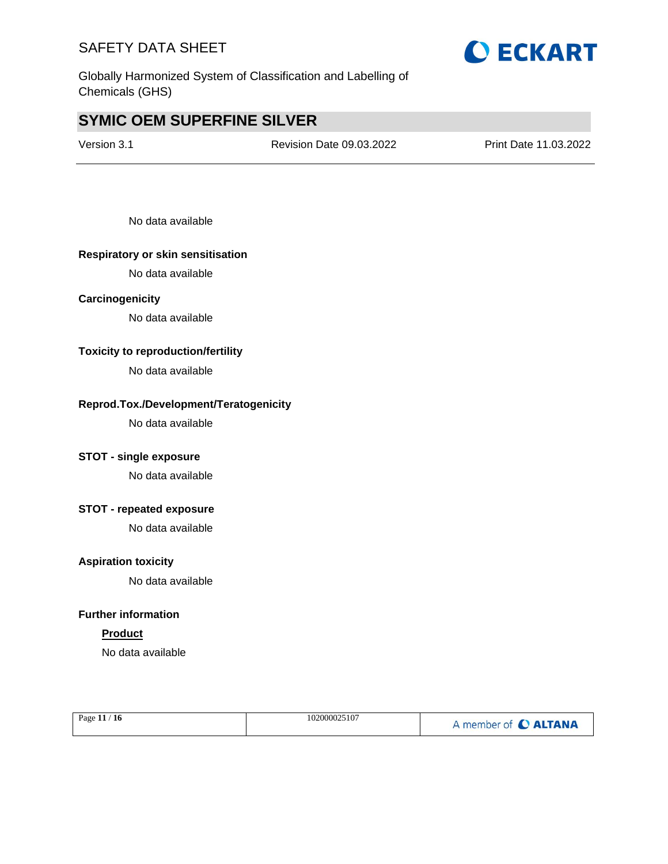

# **SYMIC OEM SUPERFINE SILVER**

Version 3.1 Revision Date 09.03.2022 Print Date 11.03.2022

No data available

#### **Respiratory or skin sensitisation**

No data available

#### **Carcinogenicity**

No data available

#### **Toxicity to reproduction/fertility**

No data available

#### **Reprod.Tox./Development/Teratogenicity**

No data available

## **STOT - single exposure**

No data available

### **STOT - repeated exposure**

No data available

#### **Aspiration toxicity**

No data available

#### **Further information**

### **Product**

No data available

| Page 11 / 16 | 102000025107 | A member of C ALTANA |
|--------------|--------------|----------------------|
|              |              |                      |

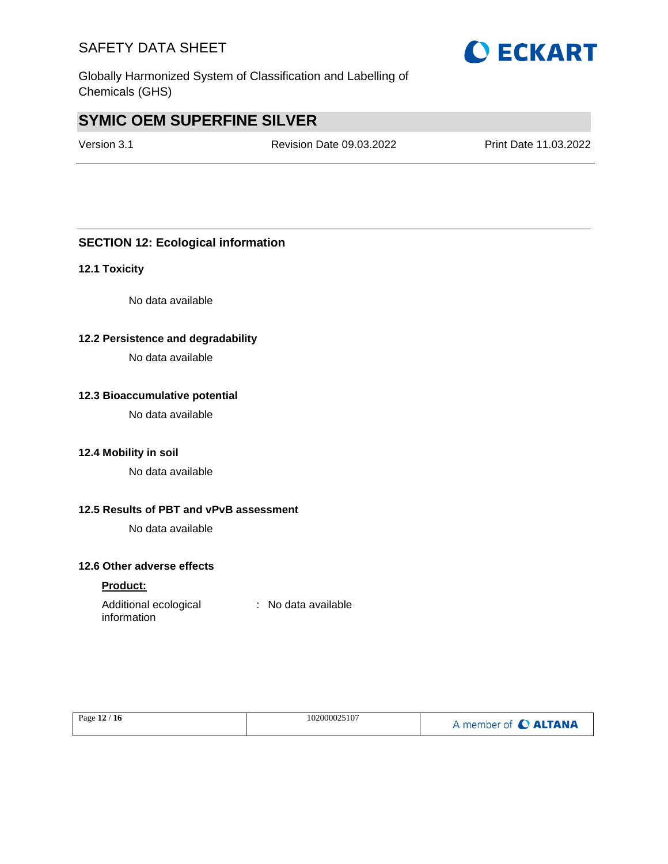Globally Harmonized System of Classification and Labelling of Chemicals (GHS)

# **SYMIC OEM SUPERFINE SILVER**

Version 3.1 Revision Date 09.03.2022 Print Date 11.03.2022

## **SECTION 12: Ecological information**

#### **12.1 Toxicity**

No data available

#### **12.2 Persistence and degradability**

No data available

#### **12.3 Bioaccumulative potential**

No data available

#### **12.4 Mobility in soil**

No data available

#### **12.5 Results of PBT and vPvB assessment**

No data available

## **12.6 Other adverse effects**

#### **Product:**

| Additional ecological | : No data available |
|-----------------------|---------------------|
| information           |                     |

| 102000025107<br>Page 12 / 16 | A member of C ALTANA |
|------------------------------|----------------------|
|------------------------------|----------------------|

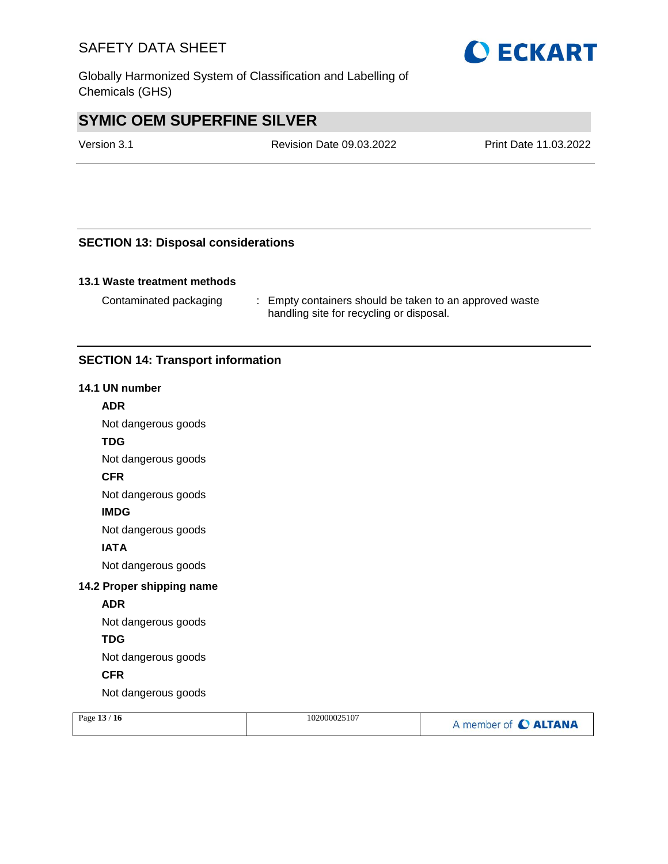Globally Harmonized System of Classification and Labelling of Chemicals (GHS)

# **SYMIC OEM SUPERFINE SILVER**

Version 3.1 Revision Date 09.03.2022 Print Date 11.03.2022

## **SECTION 13: Disposal considerations**

#### **13.1 Waste treatment methods**

Contaminated packaging : Empty containers should be taken to an approved waste handling site for recycling or disposal.

## **SECTION 14: Transport information**

#### **14.1 UN number**

#### **ADR**

Not dangerous goods

#### **TDG**

Not dangerous goods

#### **CFR**

Not dangerous goods

#### **IMDG**

Not dangerous goods

### **IATA**

Not dangerous goods

#### **14.2 Proper shipping name**

#### **ADR**

Not dangerous goods

#### **TDG**

Not dangerous goods

### **CFR**

Not dangerous goods

| Page $13/16$ | 102000025107 | A member of C ALTANA |
|--------------|--------------|----------------------|
|              |              |                      |

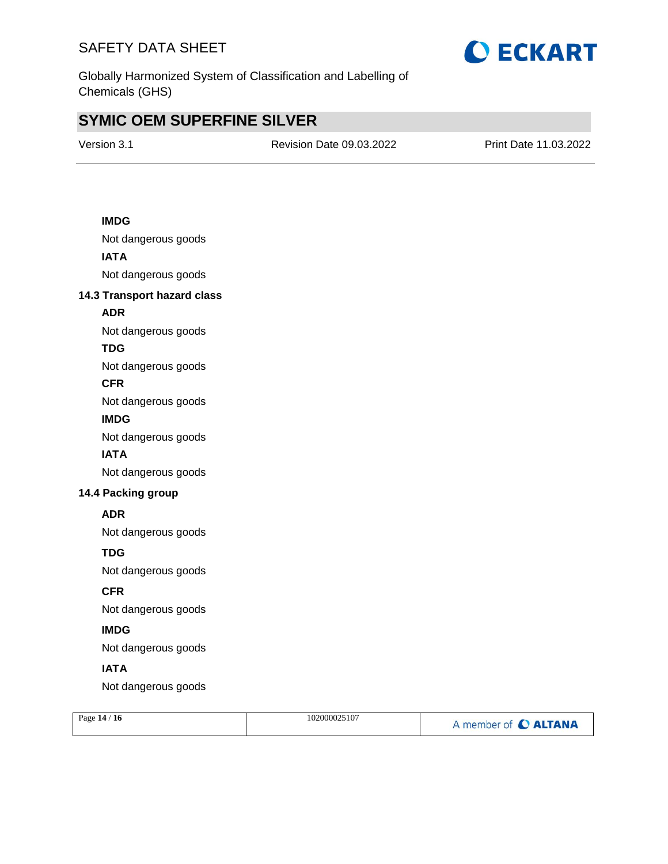

Globally Harmonized System of Classification and Labelling of Chemicals (GHS)

# **SYMIC OEM SUPERFINE SILVER**

Version 3.1 Revision Date 09.03.2022 Print Date 11.03.2022

### **IMDG**

Not dangerous goods **IATA** Not dangerous goods

#### **14.3 Transport hazard class**

### **ADR**

Not dangerous goods

## **TDG**

Not dangerous goods

#### **CFR**

Not dangerous goods

#### **IMDG**

Not dangerous goods

#### **IATA**

Not dangerous goods

### **14.4 Packing group**

#### **ADR**

Not dangerous goods

### **TDG**

Not dangerous goods

## **CFR**

Not dangerous goods

## **IMDG**

Not dangerous goods

## **IATA**

Not dangerous goods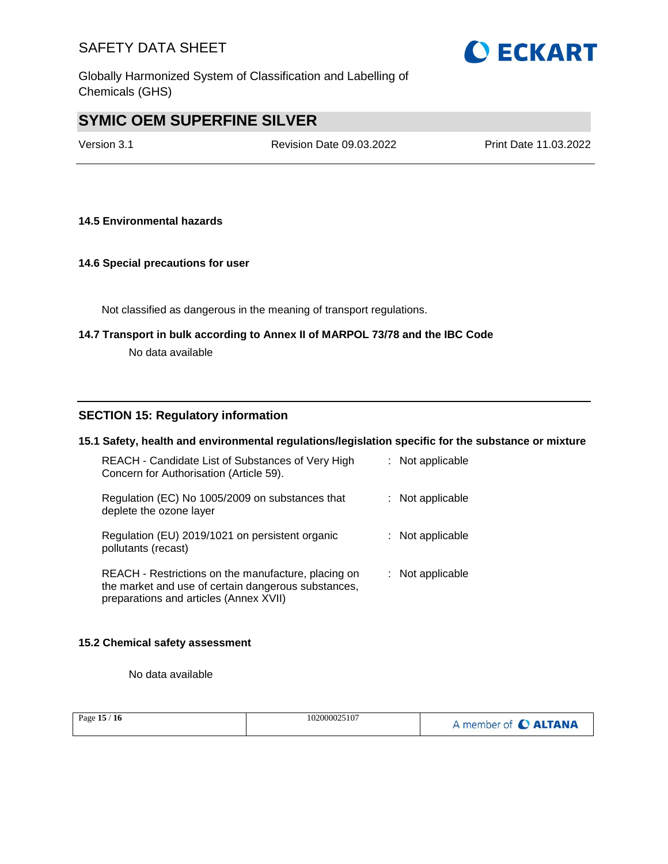

Globally Harmonized System of Classification and Labelling of Chemicals (GHS)

# **SYMIC OEM SUPERFINE SILVER**

Version 3.1 Revision Date 09.03.2022 Print Date 11.03.2022

#### **14.5 Environmental hazards**

#### **14.6 Special precautions for user**

Not classified as dangerous in the meaning of transport regulations.

# **14.7 Transport in bulk according to Annex II of MARPOL 73/78 and the IBC Code**

No data available

#### **SECTION 15: Regulatory information**

#### **15.1 Safety, health and environmental regulations/legislation specific for the substance or mixture**

| REACH - Candidate List of Substances of Very High<br>Concern for Authorisation (Article 59).                                                         | : Not applicable   |
|------------------------------------------------------------------------------------------------------------------------------------------------------|--------------------|
| Regulation (EC) No 1005/2009 on substances that<br>deplete the ozone layer                                                                           | : Not applicable   |
| Regulation (EU) 2019/1021 on persistent organic<br>pollutants (recast)                                                                               | $:$ Not applicable |
| REACH - Restrictions on the manufacture, placing on<br>the market and use of certain dangerous substances,<br>preparations and articles (Annex XVII) | : Not applicable   |

#### **15.2 Chemical safety assessment**

No data available

| Page $15/16$ | 102000025107 | A member of C ALTANA |
|--------------|--------------|----------------------|
|              |              |                      |